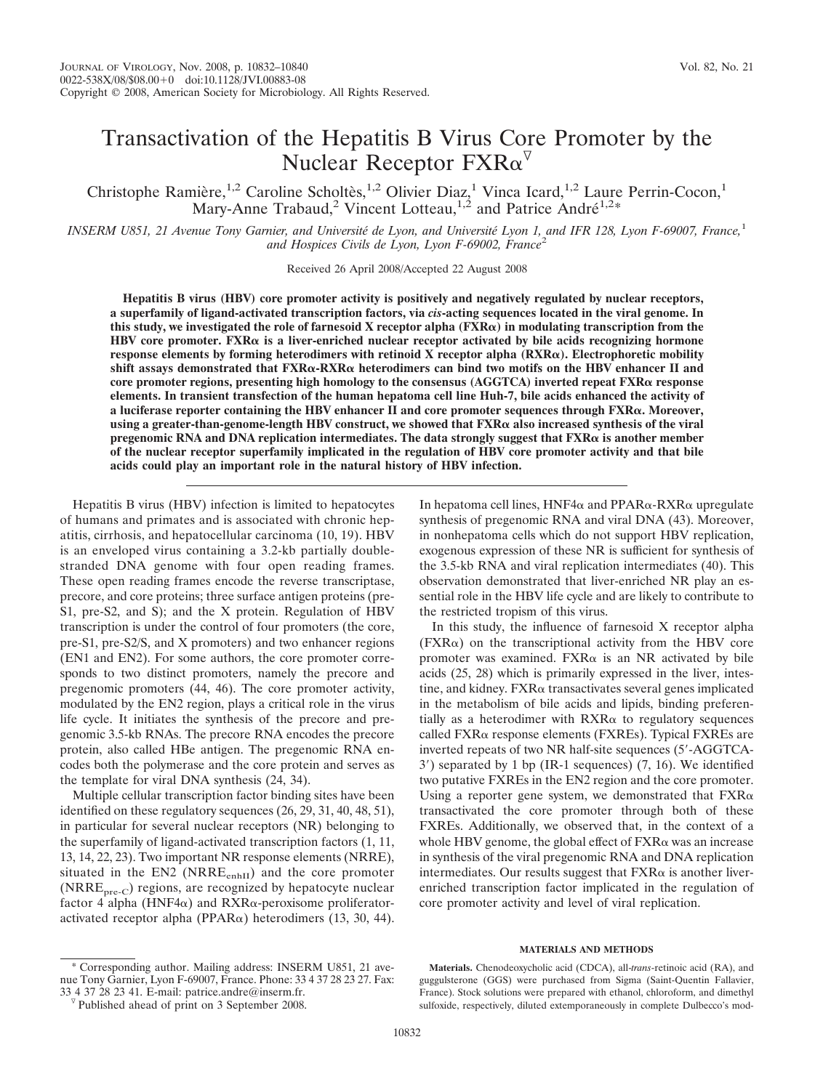# Transactivation of the Hepatitis B Virus Core Promoter by the Nuclear Receptor  $FXR\alpha^{\triangledown}$

Christophe Ramière,<sup>1,2</sup> Caroline Scholtès,<sup>1,2</sup> Olivier Diaz,<sup>1</sup> Vinca Icard,<sup>1,2</sup> Laure Perrin-Cocon,<sup>1</sup> Mary-Anne Trabaud,<sup>2</sup> Vincent Lotteau,<sup>1,2</sup> and Patrice André<sup>1,2\*</sup>

*INSERM U851, 21 Avenue Tony Garnier, and Universite´ de Lyon, and Universite´ Lyon 1, and IFR 128, Lyon F-69007, France,*<sup>1</sup> *and Hospices Civils de Lyon, Lyon F-69002, France*<sup>2</sup>

Received 26 April 2008/Accepted 22 August 2008

**Hepatitis B virus (HBV) core promoter activity is positively and negatively regulated by nuclear receptors, a superfamily of ligand-activated transcription factors, via** *cis***-acting sequences located in the viral genome. In this study, we investigated the role of farnesoid X receptor alpha (FXR) in modulating transcription from the** HBV core promoter.  $FXR\alpha$  is a liver-enriched nuclear receptor activated by bile acids recognizing hormone **response elements by forming heterodimers with retinoid X receptor alpha (RXR). Electrophoretic mobility shift assays demonstrated that FXRα-RXRα heterodimers can bind two motifs on the HBV enhancer II and core promoter regions, presenting high homology to the consensus (AGGTCA) inverted repeat FXR response elements. In transient transfection of the human hepatoma cell line Huh-7, bile acids enhanced the activity of a luciferase reporter containing the HBV enhancer II and core promoter sequences through FXR. Moreover,** using a greater-than-genome-length HBV construct, we showed that FXR<sub>Q</sub> also increased synthesis of the viral **pregenomic RNA and DNA replication intermediates. The data strongly suggest that FXR** $\alpha$  **is another member of the nuclear receptor superfamily implicated in the regulation of HBV core promoter activity and that bile acids could play an important role in the natural history of HBV infection.**

Hepatitis B virus (HBV) infection is limited to hepatocytes of humans and primates and is associated with chronic hepatitis, cirrhosis, and hepatocellular carcinoma (10, 19). HBV is an enveloped virus containing a 3.2-kb partially doublestranded DNA genome with four open reading frames. These open reading frames encode the reverse transcriptase, precore, and core proteins; three surface antigen proteins (pre-S1, pre-S2, and S); and the X protein. Regulation of HBV transcription is under the control of four promoters (the core, pre-S1, pre-S2/S, and X promoters) and two enhancer regions (EN1 and EN2). For some authors, the core promoter corresponds to two distinct promoters, namely the precore and pregenomic promoters (44, 46). The core promoter activity, modulated by the EN2 region, plays a critical role in the virus life cycle. It initiates the synthesis of the precore and pregenomic 3.5-kb RNAs. The precore RNA encodes the precore protein, also called HBe antigen. The pregenomic RNA encodes both the polymerase and the core protein and serves as the template for viral DNA synthesis (24, 34).

Multiple cellular transcription factor binding sites have been identified on these regulatory sequences (26, 29, 31, 40, 48, 51), in particular for several nuclear receptors (NR) belonging to the superfamily of ligand-activated transcription factors (1, 11, 13, 14, 22, 23). Two important NR response elements (NRRE), situated in the EN2 (NRRE<sub>enhII</sub>) and the core promoter  $(NRRE<sub>pre-C</sub>)$  regions, are recognized by hepatocyte nuclear factor 4 alpha (HNF4 $\alpha$ ) and RXR $\alpha$ -peroxisome proliferatoractivated receptor alpha (PPAR $\alpha$ ) heterodimers (13, 30, 44).

Corresponding author. Mailing address: INSERM U851, 21 avenue Tony Garnier, Lyon F-69007, France. Phone: 33 4 37 28 23 27. Fax: 33 4 37 28 23 41. E-mail: patrice.andre@inserm.fr.

In hepatoma cell lines,  $HNF4\alpha$  and  $PPAR\alpha$ -RXR $\alpha$  upregulate synthesis of pregenomic RNA and viral DNA (43). Moreover, in nonhepatoma cells which do not support HBV replication, exogenous expression of these NR is sufficient for synthesis of the 3.5-kb RNA and viral replication intermediates (40). This observation demonstrated that liver-enriched NR play an essential role in the HBV life cycle and are likely to contribute to the restricted tropism of this virus.

In this study, the influence of farnesoid X receptor alpha  $(FXR\alpha)$  on the transcriptional activity from the HBV core promoter was examined.  $FXR\alpha$  is an NR activated by bile acids (25, 28) which is primarily expressed in the liver, intestine, and kidney. FXR $\alpha$  transactivates several genes implicated in the metabolism of bile acids and lipids, binding preferentially as a heterodimer with  $RXR\alpha$  to regulatory sequences called FXRα response elements (FXREs). Typical FXREs are inverted repeats of two NR half-site sequences (5-AGGTCA-3) separated by 1 bp (IR-1 sequences) (7, 16). We identified two putative FXREs in the EN2 region and the core promoter. Using a reporter gene system, we demonstrated that  $FXR\alpha$ transactivated the core promoter through both of these FXREs. Additionally, we observed that, in the context of a whole HBV genome, the global effect of  $\text{FXR}_\alpha$  was an increase in synthesis of the viral pregenomic RNA and DNA replication intermediates. Our results suggest that  $FXR\alpha$  is another liverenriched transcription factor implicated in the regulation of core promoter activity and level of viral replication.

## **MATERIALS AND METHODS**

**Materials.** Chenodeoxycholic acid (CDCA), all-*trans*-retinoic acid (RA), and guggulsterone (GGS) were purchased from Sigma (Saint-Quentin Fallavier, France). Stock solutions were prepared with ethanol, chloroform, and dimethyl sulfoxide, respectively, diluted extemporaneously in complete Dulbecco's mod-

 $\sqrt[p]{}$  Published ahead of print on 3 September 2008.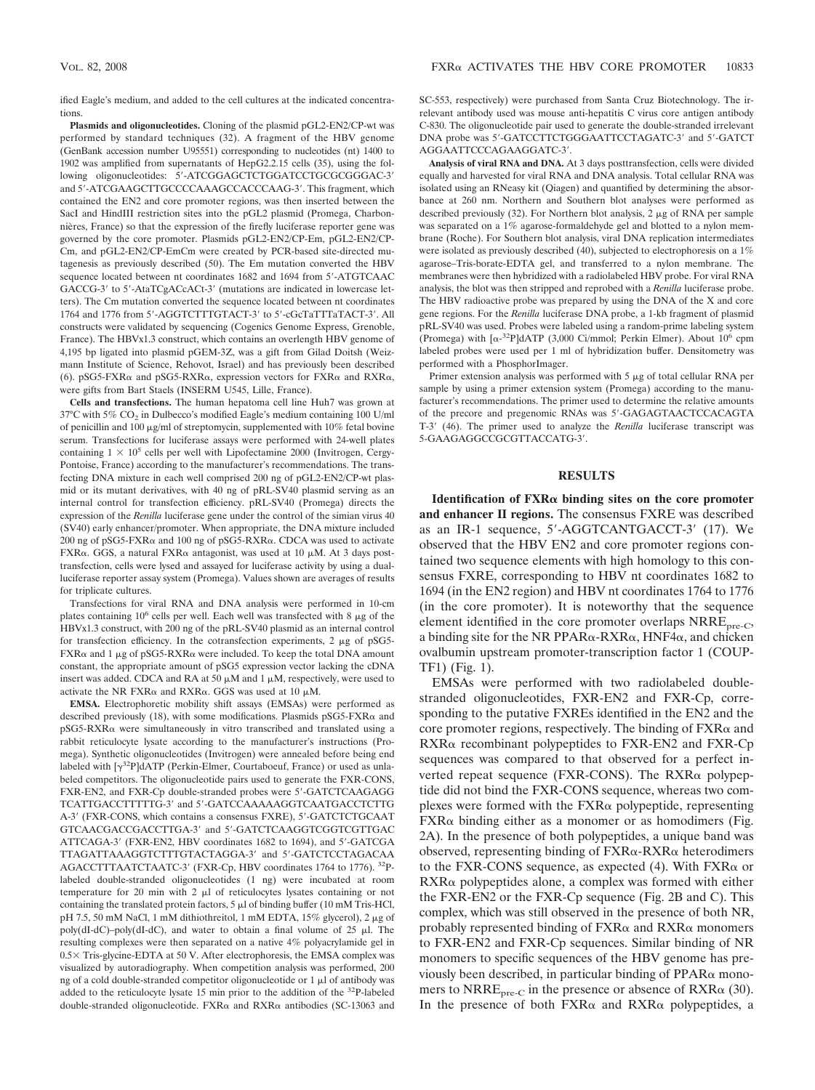ified Eagle's medium, and added to the cell cultures at the indicated concentrations.

**Plasmids and oligonucleotides.** Cloning of the plasmid pGL2-EN2/CP-wt was performed by standard techniques (32). A fragment of the HBV genome (GenBank accession number U95551) corresponding to nucleotides (nt) 1400 to 1902 was amplified from supernatants of HepG2.2.15 cells (35), using the following oligonucleotides: 5-ATCGGAGCTCTGGATCCTGCGCGGGAC-3 and 5'-ATCGAAGCTTGCCCCAAAGCCACCCAAG-3'. This fragment, which contained the EN2 and core promoter regions, was then inserted between the SacI and HindIII restriction sites into the pGL2 plasmid (Promega, Charbonnières, France) so that the expression of the firefly luciferase reporter gene was governed by the core promoter. Plasmids pGL2-EN2/CP-Em, pGL2-EN2/CP-Cm, and pGL2-EN2/CP-EmCm were created by PCR-based site-directed mutagenesis as previously described (50). The Em mutation converted the HBV sequence located between nt coordinates 1682 and 1694 from 5-ATGTCAAC GACCG-3' to 5'-AtaTCgACcACt-3' (mutations are indicated in lowercase letters). The Cm mutation converted the sequence located between nt coordinates 1764 and 1776 from 5'-AGGTCTTTGTACT-3' to 5'-cGcTaTTTaTACT-3'. All constructs were validated by sequencing (Cogenics Genome Express, Grenoble, France). The HBVx1.3 construct, which contains an overlength HBV genome of 4,195 bp ligated into plasmid pGEM-3Z, was a gift from Gilad Doitsh (Weizmann Institute of Science, Rehovot, Israel) and has previously been described (6). pSG5-FXR $\alpha$  and pSG5-RXR $\alpha$ , expression vectors for FXR $\alpha$  and RXR $\alpha$ , were gifts from Bart Staels (INSERM U545, Lille, France).

**Cells and transfections.** The human hepatoma cell line Huh7 was grown at 37°C with 5%  $CO<sub>2</sub>$  in Dulbecco's modified Eagle's medium containing 100 U/ml of penicillin and 100  $\mu$ g/ml of streptomycin, supplemented with 10% fetal bovine serum. Transfections for luciferase assays were performed with 24-well plates containing  $1 \times 10^5$  cells per well with Lipofectamine 2000 (Invitrogen, Cergy-Pontoise, France) according to the manufacturer's recommendations. The transfecting DNA mixture in each well comprised 200 ng of pGL2-EN2/CP-wt plasmid or its mutant derivatives, with 40 ng of pRL-SV40 plasmid serving as an internal control for transfection efficiency. pRL-SV40 (Promega) directs the expression of the *Renilla* luciferase gene under the control of the simian virus 40 (SV40) early enhancer/promoter. When appropriate, the DNA mixture included 200 ng of pSG5-FXR $\alpha$  and 100 ng of pSG5-RXR $\alpha$ . CDCA was used to activate  $FXR\alpha$ . GGS, a natural  $FXR\alpha$  antagonist, was used at 10  $\mu$ M. At 3 days posttransfection, cells were lysed and assayed for luciferase activity by using a dualluciferase reporter assay system (Promega). Values shown are averages of results for triplicate cultures.

Transfections for viral RNA and DNA analysis were performed in 10-cm plates containing  $10^6$  cells per well. Each well was transfected with 8  $\mu$ g of the HBVx1.3 construct, with 200 ng of the pRL-SV40 plasmid as an internal control for transfection efficiency. In the cotransfection experiments,  $2 \mu g$  of pSG5- $FXR\alpha$  and 1 µg of pSG5-RXR $\alpha$  were included. To keep the total DNA amount constant, the appropriate amount of pSG5 expression vector lacking the cDNA insert was added. CDCA and RA at 50  $\mu$ M and 1  $\mu$ M, respectively, were used to activate the NR FXR $\alpha$  and RXR $\alpha$ . GGS was used at 10  $\mu$ M.

**EMSA.** Electrophoretic mobility shift assays (EMSAs) were performed as described previously (18), with some modifications. Plasmids  $pSG5-FXR\alpha$  and  $pSG5-RXR\alpha$  were simultaneously in vitro transcribed and translated using a rabbit reticulocyte lysate according to the manufacturer's instructions (Promega). Synthetic oligonucleotides (Invitrogen) were annealed before being end labeled with  $[\gamma^{32}P]$ dATP (Perkin-Elmer, Courtaboeuf, France) or used as unlabeled competitors. The oligonucleotide pairs used to generate the FXR-CONS, FXR-EN2, and FXR-Cp double-stranded probes were 5'-GATCTCAAGAGG TCATTGACCTTTTTG-3' and 5'-GATCCAAAAAGGTCAATGACCTCTTG A-3' (FXR-CONS, which contains a consensus FXRE), 5'-GATCTCTGCAAT GTCAACGACCGACCTTGA-3' and 5'-GATCTCAAGGTCGGTCGTTGAC ATTCAGA-3' (FXR-EN2, HBV coordinates 1682 to 1694), and 5'-GATCGA TTAGATTAAAGGTCTTTGTACTAGGA-3' and 5'-GATCTCCTAGACAA AGACCTTTAATCTAATC-3' (FXR-Cp, HBV coordinates 1764 to 1776). <sup>32</sup>Plabeled double-stranded oligonucleotides (1 ng) were incubated at room temperature for 20 min with 2  $\mu$ l of reticulocytes lysates containing or not containing the translated protein factors,  $5 \mu l$  of binding buffer (10 mM Tris-HCl, pH 7.5, 50 mM NaCl, 1 mM dithiothreitol, 1 mM EDTA,  $15\%$  glycerol), 2  $\mu$ g of poly(dI-dC)–poly(dI-dC), and water to obtain a final volume of  $25 \mu$ . The resulting complexes were then separated on a native 4% polyacrylamide gel in 0.5 × Tris-glycine-EDTA at 50 V. After electrophoresis, the EMSA complex was visualized by autoradiography. When competition analysis was performed, 200 ng of a cold double-stranded competitor oligonucleotide or  $1 \mu$ l of antibody was added to the reticulocyte lysate 15 min prior to the addition of the 32P-labeled double-stranded oligonucleotide. FXRα and RXRα antibodies (SC-13063 and

SC-553, respectively) were purchased from Santa Cruz Biotechnology. The irrelevant antibody used was mouse anti-hepatitis C virus core antigen antibody C-830. The oligonucleotide pair used to generate the double-stranded irrelevant DNA probe was 5'-GATCCTTCTGGGAATTCCTAGATC-3' and 5'-GATCT AGGAATTCCCAGAAGGATC-3.

**Analysis of viral RNA and DNA.** At 3 days posttransfection, cells were divided equally and harvested for viral RNA and DNA analysis. Total cellular RNA was isolated using an RNeasy kit (Qiagen) and quantified by determining the absorbance at 260 nm. Northern and Southern blot analyses were performed as described previously  $(32)$ . For Northern blot analysis, 2  $\mu$ g of RNA per sample was separated on a 1% agarose-formaldehyde gel and blotted to a nylon membrane (Roche). For Southern blot analysis, viral DNA replication intermediates were isolated as previously described (40), subjected to electrophoresis on a 1% agarose–Tris-borate-EDTA gel, and transferred to a nylon membrane. The membranes were then hybridized with a radiolabeled HBV probe. For viral RNA analysis, the blot was then stripped and reprobed with a *Renilla* luciferase probe. The HBV radioactive probe was prepared by using the DNA of the X and core gene regions. For the *Renilla* luciferase DNA probe, a 1-kb fragment of plasmid pRL-SV40 was used. Probes were labeled using a random-prime labeling system (Promega) with  $\left[\alpha^{-32}P\right]$ dATP (3,000 Ci/mmol; Perkin Elmer). About 10<sup>6</sup> cpm labeled probes were used per 1 ml of hybridization buffer. Densitometry was performed with a PhosphorImager.

Primer extension analysis was performed with  $5 \mu$ g of total cellular RNA per sample by using a primer extension system (Promega) according to the manufacturer's recommendations. The primer used to determine the relative amounts of the precore and pregenomic RNAs was 5-GAGAGTAACTCCACAGTA T-3 (46). The primer used to analyze the *Renilla* luciferase transcript was 5-GAAGAGGCCGCGTTACCATG-3.

### **RESULTS**

Identification of **FXR**α binding sites on the core promoter **and enhancer II regions.** The consensus FXRE was described as an IR-1 sequence, 5'-AGGTCANTGACCT-3' (17). We observed that the HBV EN2 and core promoter regions contained two sequence elements with high homology to this consensus FXRE, corresponding to HBV nt coordinates 1682 to 1694 (in the EN2 region) and HBV nt coordinates 1764 to 1776 (in the core promoter). It is noteworthy that the sequence element identified in the core promoter overlaps NRRE<sub>pre-C</sub>, a binding site for the NR PPAR $\alpha$ -RXR $\alpha$ , HNF4 $\alpha$ , and chicken ovalbumin upstream promoter-transcription factor 1 (COUP-TF1) (Fig. 1).

EMSAs were performed with two radiolabeled doublestranded oligonucleotides, FXR-EN2 and FXR-Cp, corresponding to the putative FXREs identified in the EN2 and the core promoter regions, respectively. The binding of  $FXR\alpha$  and RXR<sub>a</sub> recombinant polypeptides to FXR-EN2 and FXR-Cp sequences was compared to that observed for a perfect inverted repeat sequence (FXR-CONS). The RXRα polypeptide did not bind the FXR-CONS sequence, whereas two complexes were formed with the  $FXR\alpha$  polypeptide, representing  $FXR\alpha$  binding either as a monomer or as homodimers (Fig. 2A). In the presence of both polypeptides, a unique band was observed, representing binding of  $FXR\alpha$ -RXR $\alpha$  heterodimers to the FXR-CONS sequence, as expected  $(4)$ . With FXR $\alpha$  or  $RXR\alpha$  polypeptides alone, a complex was formed with either the FXR-EN2 or the FXR-Cp sequence (Fig. 2B and C). This complex, which was still observed in the presence of both NR, probably represented binding of  $FXR\alpha$  and  $RXR\alpha$  monomers to FXR-EN2 and FXR-Cp sequences. Similar binding of NR monomers to specific sequences of the HBV genome has previously been described, in particular binding of  $PPAR\alpha$  monomers to NRRE<sub>pre-C</sub> in the presence or absence of RXR $\alpha$  (30). In the presence of both  $FXR\alpha$  and  $RXR\alpha$  polypeptides, a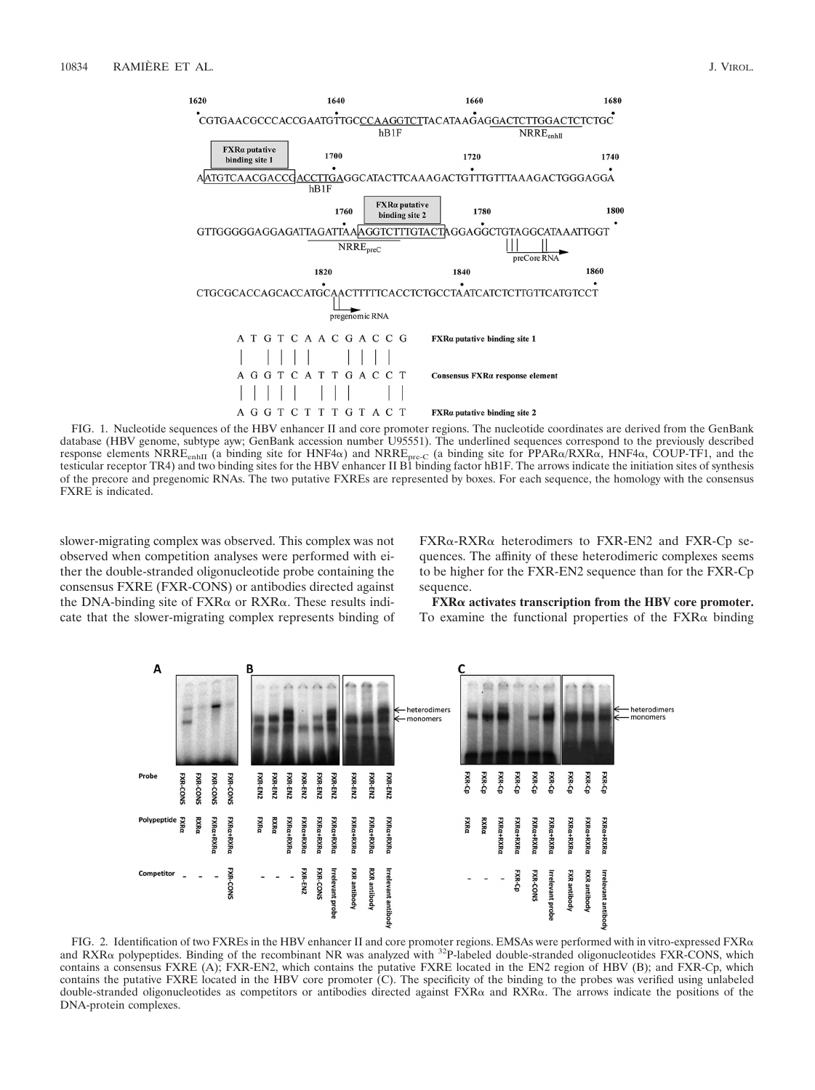

FIG. 1. Nucleotide sequences of the HBV enhancer II and core promoter regions. The nucleotide coordinates are derived from the GenBank database (HBV genome, subtype ayw; GenBank accession number U95551). The underlined sequences correspond to the previously described response elements NRRE<sub>enhII</sub> (a binding site for HNF4α) and NRRE<sub>pre-C</sub> (a binding site for PPARα/RXRα, HNF4α, COUP-TF1, and the testicular receptor TR4) and two binding sites for the HBV enhancer II B1 binding factor hB1F. The arrows indicate the initiation sites of synthesis of the precore and pregenomic RNAs. The two putative FXREs are represented by boxes. For each sequence, the homology with the consensus FXRE is indicated.

slower-migrating complex was observed. This complex was not observed when competition analyses were performed with either the double-stranded oligonucleotide probe containing the consensus FXRE (FXR-CONS) or antibodies directed against the DNA-binding site of  $FXR\alpha$  or  $RXR\alpha$ . These results indicate that the slower-migrating complex represents binding of

 $FXR\alpha$ -RXR $\alpha$  heterodimers to FXR-EN2 and FXR-Cp sequences. The affinity of these heterodimeric complexes seems to be higher for the FXR-EN2 sequence than for the FXR-Cp sequence.

**FXR activates transcription from the HBV core promoter.** To examine the functional properties of the  $FXR\alpha$  binding



FIG. 2. Identification of two FXREs in the HBV enhancer II and core promoter regions. EMSAs were performed with in vitro-expressed FXR $\alpha$ and RXR<sub>o</sub> polypeptides. Binding of the recombinant NR was analyzed with <sup>32</sup>P-labeled double-stranded oligonucleotides FXR-CONS, which contains a consensus FXRE (A); FXR-EN2, which contains the putative FXRE located in the EN2 region of HBV (B); and FXR-Cp, which contains the putative FXRE located in the HBV core promoter (C). The specificity of the binding to the probes was verified using unlabeled double-stranded oligonucleotides as competitors or antibodies directed against  $FXR\alpha$  and  $RXR\alpha$ . The arrows indicate the positions of the DNA-protein complexes.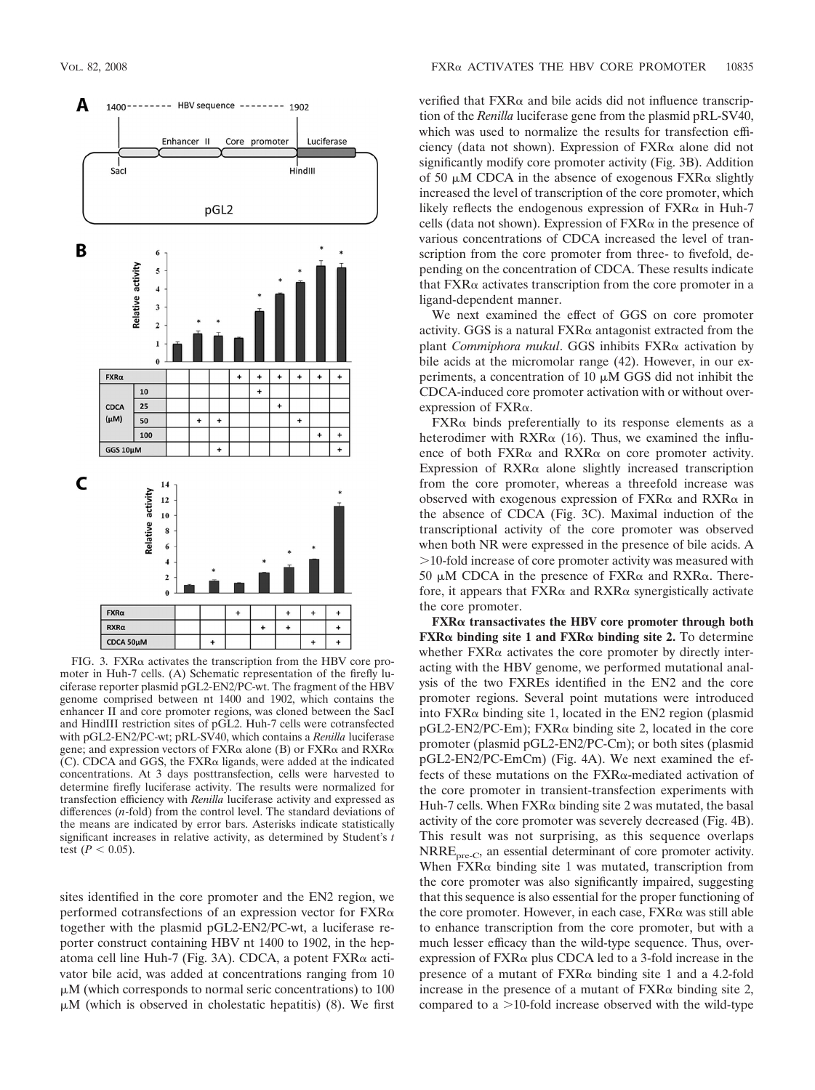

 $FIG. 3. FXR\alpha$  activates the transcription from the HBV core promoter in Huh-7 cells. (A) Schematic representation of the firefly luciferase reporter plasmid pGL2-EN2/PC-wt. The fragment of the HBV genome comprised between nt 1400 and 1902, which contains the enhancer II and core promoter regions, was cloned between the SacI and HindIII restriction sites of pGL2. Huh-7 cells were cotransfected with pGL2-EN2/PC-wt; pRL-SV40, which contains a *Renilla* luciferase gene; and expression vectors of  $FXR\alpha$  alone (B) or  $FXR\alpha$  and  $RXR\alpha$  $(C)$ . CDCA and GGS, the FXR $\alpha$  ligands, were added at the indicated concentrations. At 3 days posttransfection, cells were harvested to determine firefly luciferase activity. The results were normalized for transfection efficiency with *Renilla* luciferase activity and expressed as differences (*n*-fold) from the control level. The standard deviations of the means are indicated by error bars. Asterisks indicate statistically significant increases in relative activity, as determined by Student's *t* test  $(P < 0.05)$ .

sites identified in the core promoter and the EN2 region, we performed cotransfections of an expression vector for  $FXR\alpha$ together with the plasmid pGL2-EN2/PC-wt, a luciferase reporter construct containing HBV nt 1400 to 1902, in the hepatoma cell line Huh-7 (Fig. 3A). CDCA, a potent FXRα activator bile acid, was added at concentrations ranging from 10  $\mu$ M (which corresponds to normal seric concentrations) to 100  $\mu$ M (which is observed in cholestatic hepatitis) (8). We first

verified that  $FXR\alpha$  and bile acids did not influence transcription of the *Renilla* luciferase gene from the plasmid pRL-SV40, which was used to normalize the results for transfection efficiency (data not shown). Expression of  $FXR\alpha$  alone did not significantly modify core promoter activity (Fig. 3B). Addition of 50  $\mu$ M CDCA in the absence of exogenous FXR $\alpha$  slightly increased the level of transcription of the core promoter, which likely reflects the endogenous expression of  $FXR\alpha$  in Huh-7 cells (data not shown). Expression of  $FXR\alpha$  in the presence of various concentrations of CDCA increased the level of transcription from the core promoter from three- to fivefold, depending on the concentration of CDCA. These results indicate that  $FXR\alpha$  activates transcription from the core promoter in a ligand-dependent manner.

We next examined the effect of GGS on core promoter activity. GGS is a natural  $FXR\alpha$  antagonist extracted from the plant *Commiphora mukul*. GGS inhibits FXR« activation by bile acids at the micromolar range (42). However, in our experiments, a concentration of 10  $\mu$ M GGS did not inhibit the CDCA-induced core promoter activation with or without overexpression of  $FXR\alpha$ .

 $FXR\alpha$  binds preferentially to its response elements as a heterodimer with  $RXR\alpha$  (16). Thus, we examined the influence of both  $FXR\alpha$  and  $RXR\alpha$  on core promoter activity. Expression of  $RXR\alpha$  alone slightly increased transcription from the core promoter, whereas a threefold increase was observed with exogenous expression of  $FXR\alpha$  and  $RXR\alpha$  in the absence of CDCA (Fig. 3C). Maximal induction of the transcriptional activity of the core promoter was observed when both NR were expressed in the presence of bile acids. A 10-fold increase of core promoter activity was measured with 50  $\mu$ M CDCA in the presence of FXR $\alpha$  and RXR $\alpha$ . Therefore, it appears that  $FXR\alpha$  and  $RXR\alpha$  synergistically activate the core promoter.

**FXR transactivates the HBV core promoter through both FXR binding site 1 and FXR binding site 2.** To determine whether  $FXR\alpha$  activates the core promoter by directly interacting with the HBV genome, we performed mutational analysis of the two FXREs identified in the EN2 and the core promoter regions. Several point mutations were introduced into  $FXR\alpha$  binding site 1, located in the EN2 region (plasmid pGL2-EN2/PC-Em); FXRα binding site 2, located in the core promoter (plasmid pGL2-EN2/PC-Cm); or both sites (plasmid pGL2-EN2/PC-EmCm) (Fig. 4A). We next examined the effects of these mutations on the  $FXR\alpha$ -mediated activation of the core promoter in transient-transfection experiments with Huh-7 cells. When  $FXR\alpha$  binding site 2 was mutated, the basal activity of the core promoter was severely decreased (Fig. 4B). This result was not surprising, as this sequence overlaps NRRE<sub>pre-C</sub>, an essential determinant of core promoter activity. When  $FXR\alpha$  binding site 1 was mutated, transcription from the core promoter was also significantly impaired, suggesting that this sequence is also essential for the proper functioning of the core promoter. However, in each case,  $FXR\alpha$  was still able to enhance transcription from the core promoter, but with a much lesser efficacy than the wild-type sequence. Thus, overexpression of  $FXR\alpha$  plus CDCA led to a 3-fold increase in the presence of a mutant of  $FXR\alpha$  binding site 1 and a 4.2-fold increase in the presence of a mutant of  $FXR\alpha$  binding site 2, compared to a  $>$ 10-fold increase observed with the wild-type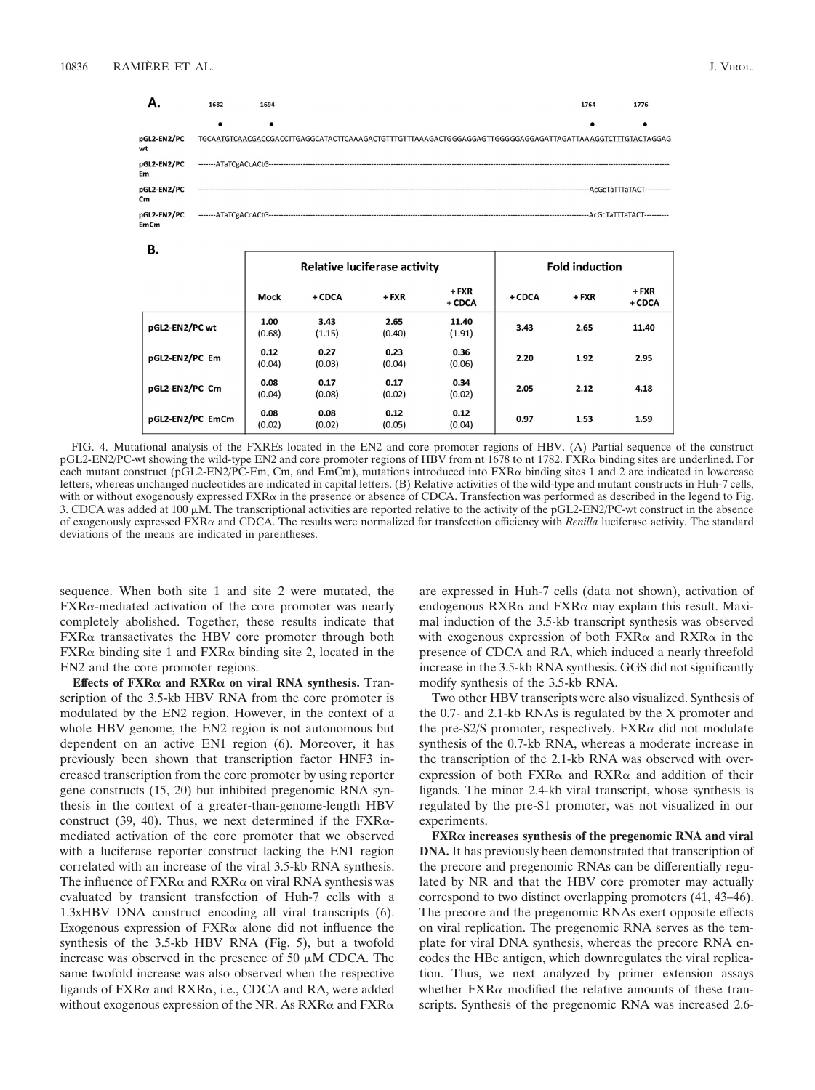| -- | W |
|----|---|
|    |   |

| υ.               | <b>Relative luciferase activity</b> |                |                |                   | <b>Fold induction</b> |         |                   |
|------------------|-------------------------------------|----------------|----------------|-------------------|-----------------------|---------|-------------------|
|                  | Mock                                | $+$ CDCA       | $+$ FXR        | $+$ FXR<br>+ CDCA | $+$ CDCA              | $+$ FXR | $+$ FXR<br>+ CDCA |
| pGL2-EN2/PC wt   | 1.00<br>(0.68)                      | 3.43<br>(1.15) | 2.65<br>(0.40) | 11.40<br>(1.91)   | 3.43                  | 2.65    | 11.40             |
| pGL2-EN2/PC Em   | 0.12<br>(0.04)                      | 0.27<br>(0.03) | 0.23<br>(0.04) | 0.36<br>(0.06)    | 2.20                  | 1.92    | 2.95              |
| pGL2-EN2/PC Cm   | 0.08<br>(0.04)                      | 0.17<br>(0.08) | 0.17<br>(0.02) | 0.34<br>(0.02)    | 2.05                  | 2.12    | 4.18              |
| pGL2-EN2/PC EmCm | 0.08<br>(0.02)                      | 0.08<br>(0.02) | 0.12<br>(0.05) | 0.12<br>(0.04)    | 0.97                  | 1.53    | 1.59              |

FIG. 4. Mutational analysis of the FXREs located in the EN2 and core promoter regions of HBV. (A) Partial sequence of the construct pGL2-EN2/PC-wt showing the wild-type EN2 and core promoter regions of HBV from nt 1678 to nt 1782. FXR $\alpha$  binding sites are underlined. For each mutant construct (pGL2-EN2/PC-Em, Cm, and EmCm), mutations introduced into FXR $\alpha$  binding sites 1 and 2 are indicated in lowercase letters, whereas unchanged nucleotides are indicated in capital letters. (B) Relative activities of the wild-type and mutant constructs in Huh-7 cells, with or without exogenously expressed FXR $\alpha$  in the presence or absence of CDCA. Transfection was performed as described in the legend to Fig. 3. CDCA was added at 100  $\mu$ M. The transcriptional activities are reported relative to the activity of the pGL2-EN2/PC-wt construct in the absence of exogenously expressed FXRα and CDCA. The results were normalized for transfection efficiency with *Renilla* luciferase activity. The standard deviations of the means are indicated in parentheses.

sequence. When both site 1 and site 2 were mutated, the  $FXR\alpha$ -mediated activation of the core promoter was nearly completely abolished. Together, these results indicate that  $FXR\alpha$  transactivates the HBV core promoter through both  $FXR\alpha$  binding site 1 and  $FXR\alpha$  binding site 2, located in the EN2 and the core promoter regions.

**Effects of FXR and RXR on viral RNA synthesis.** Transcription of the 3.5-kb HBV RNA from the core promoter is modulated by the EN2 region. However, in the context of a whole HBV genome, the EN2 region is not autonomous but dependent on an active EN1 region (6). Moreover, it has previously been shown that transcription factor HNF3 increased transcription from the core promoter by using reporter gene constructs (15, 20) but inhibited pregenomic RNA synthesis in the context of a greater-than-genome-length HBV construct (39, 40). Thus, we next determined if the  $FXR\alpha$ mediated activation of the core promoter that we observed with a luciferase reporter construct lacking the EN1 region correlated with an increase of the viral 3.5-kb RNA synthesis. The influence of  $FXR\alpha$  and  $RXR\alpha$  on viral RNA synthesis was evaluated by transient transfection of Huh-7 cells with a 1.3xHBV DNA construct encoding all viral transcripts (6). Exogenous expression of  $FXR\alpha$  alone did not influence the synthesis of the 3.5-kb HBV RNA (Fig. 5), but a twofold increase was observed in the presence of 50  $\mu$ M CDCA. The same twofold increase was also observed when the respective ligands of  $FXR\alpha$  and  $RXR\alpha$ , i.e., CDCA and RA, were added without exogenous expression of the NR. As  $RXR\alpha$  and  $FXR\alpha$ 

are expressed in Huh-7 cells (data not shown), activation of endogenous  $RXR\alpha$  and  $FXR\alpha$  may explain this result. Maximal induction of the 3.5-kb transcript synthesis was observed with exogenous expression of both  $FXR\alpha$  and  $RXR\alpha$  in the presence of CDCA and RA, which induced a nearly threefold increase in the 3.5-kb RNA synthesis. GGS did not significantly modify synthesis of the 3.5-kb RNA.

Two other HBV transcripts were also visualized. Synthesis of the 0.7- and 2.1-kb RNAs is regulated by the X promoter and the pre-S2/S promoter, respectively.  $FXR\alpha$  did not modulate synthesis of the 0.7-kb RNA, whereas a moderate increase in the transcription of the 2.1-kb RNA was observed with overexpression of both  $FXR\alpha$  and RXR $\alpha$  and addition of their ligands. The minor 2.4-kb viral transcript, whose synthesis is regulated by the pre-S1 promoter, was not visualized in our experiments.

**FXR increases synthesis of the pregenomic RNA and viral DNA.** It has previously been demonstrated that transcription of the precore and pregenomic RNAs can be differentially regulated by NR and that the HBV core promoter may actually correspond to two distinct overlapping promoters (41, 43–46). The precore and the pregenomic RNAs exert opposite effects on viral replication. The pregenomic RNA serves as the template for viral DNA synthesis, whereas the precore RNA encodes the HBe antigen, which downregulates the viral replication. Thus, we next analyzed by primer extension assays whether  $FXR\alpha$  modified the relative amounts of these transcripts. Synthesis of the pregenomic RNA was increased 2.6-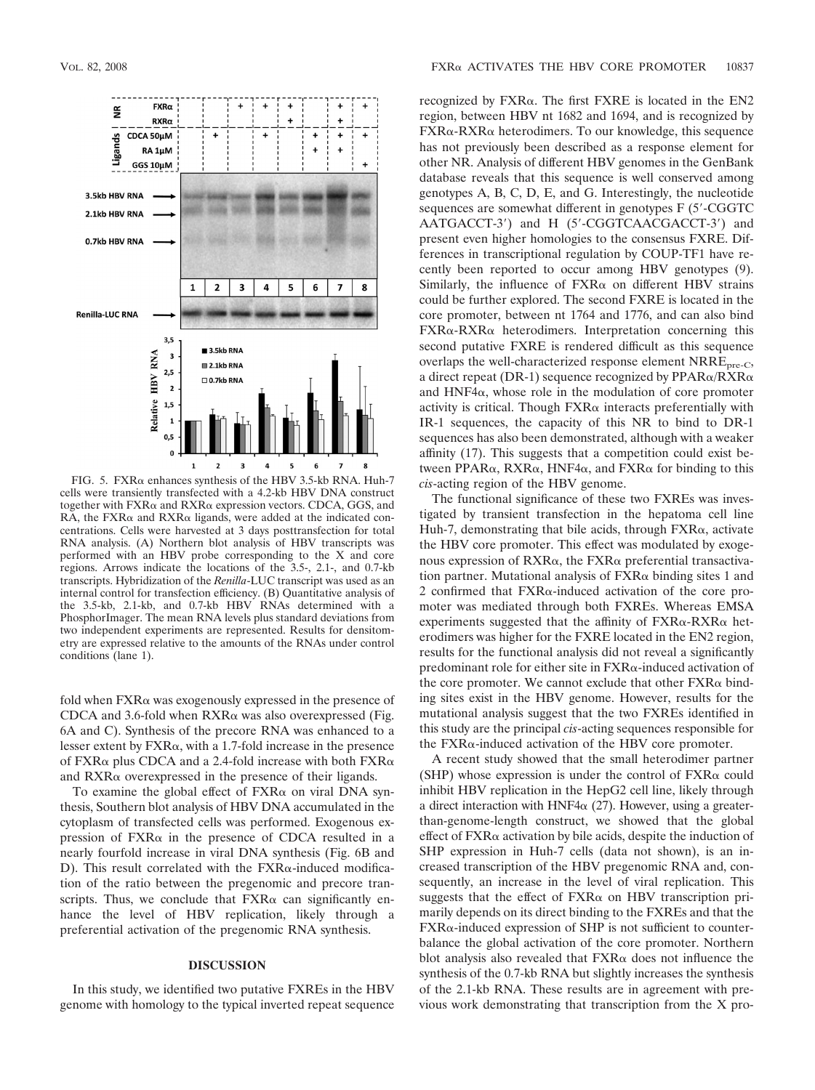

 $FIG. 5. FXR\alpha$  enhances synthesis of the HBV 3.5-kb RNA. Huh-7 cells were transiently transfected with a 4.2-kb HBV DNA construct together with  $FXR\alpha$  and  $RXR\alpha$  expression vectors. CDCA, GGS, and RA, the  $FXR\alpha$  and  $RXR\alpha$  ligands, were added at the indicated concentrations. Cells were harvested at 3 days posttransfection for total RNA analysis. (A) Northern blot analysis of HBV transcripts was performed with an HBV probe corresponding to the X and core regions. Arrows indicate the locations of the 3.5-, 2.1-, and 0.7-kb transcripts. Hybridization of the *Renilla*-LUC transcript was used as an internal control for transfection efficiency. (B) Quantitative analysis of the 3.5-kb, 2.1-kb, and 0.7-kb HBV RNAs determined with a PhosphorImager. The mean RNA levels plus standard deviations from two independent experiments are represented. Results for densitometry are expressed relative to the amounts of the RNAs under control conditions (lane 1).

fold when  $FXR\alpha$  was exogenously expressed in the presence of CDCA and 3.6-fold when  $RXR\alpha$  was also overexpressed (Fig. 6A and C). Synthesis of the precore RNA was enhanced to a lesser extent by  $FXR\alpha$ , with a 1.7-fold increase in the presence of FXR $\alpha$  plus CDCA and a 2.4-fold increase with both FXR $\alpha$ and  $RXR\alpha$  overexpressed in the presence of their ligands.

To examine the global effect of  $FXR\alpha$  on viral DNA synthesis, Southern blot analysis of HBV DNA accumulated in the cytoplasm of transfected cells was performed. Exogenous expression of  $FXR\alpha$  in the presence of CDCA resulted in a nearly fourfold increase in viral DNA synthesis (Fig. 6B and  $D$ ). This result correlated with the  $FXR\alpha$ -induced modification of the ratio between the pregenomic and precore transcripts. Thus, we conclude that  $FXR\alpha$  can significantly enhance the level of HBV replication, likely through a preferential activation of the pregenomic RNA synthesis.

#### **DISCUSSION**

In this study, we identified two putative FXREs in the HBV genome with homology to the typical inverted repeat sequence

recognized by  $FXR\alpha$ . The first  $FXRE$  is located in the  $EN2$ region, between HBV nt 1682 and 1694, and is recognized by FXRα-RXRα heterodimers. To our knowledge, this sequence has not previously been described as a response element for other NR. Analysis of different HBV genomes in the GenBank database reveals that this sequence is well conserved among genotypes A, B, C, D, E, and G. Interestingly, the nucleotide sequences are somewhat different in genotypes F (5'-CGGTC) AATGACCT-3') and H (5'-CGGTCAACGACCT-3') and present even higher homologies to the consensus FXRE. Differences in transcriptional regulation by COUP-TF1 have recently been reported to occur among HBV genotypes (9). Similarly, the influence of  $FXR\alpha$  on different HBV strains could be further explored. The second FXRE is located in the core promoter, between nt 1764 and 1776, and can also bind  $FXR\alpha$ -RXR $\alpha$  heterodimers. Interpretation concerning this second putative FXRE is rendered difficult as this sequence overlaps the well-characterized response element  $NRRE<sub>pre-C</sub>$ , a direct repeat (DR-1) sequence recognized by  $PPAR\alpha/RXR\alpha$ and  $HNF4\alpha$ , whose role in the modulation of core promoter activity is critical. Though  $FXR\alpha$  interacts preferentially with IR-1 sequences, the capacity of this NR to bind to DR-1 sequences has also been demonstrated, although with a weaker affinity (17). This suggests that a competition could exist between PPAR $\alpha$ , RXR $\alpha$ , HNF4 $\alpha$ , and FXR $\alpha$  for binding to this *cis*-acting region of the HBV genome.

The functional significance of these two FXREs was investigated by transient transfection in the hepatoma cell line Huh-7, demonstrating that bile acids, through  $FXR\alpha$ , activate the HBV core promoter. This effect was modulated by exogenous expression of  $RXR\alpha$ , the  $FXR\alpha$  preferential transactivation partner. Mutational analysis of  $FXR\alpha$  binding sites 1 and 2 confirmed that  $FXR\alpha$ -induced activation of the core promoter was mediated through both FXREs. Whereas EMSA experiments suggested that the affinity of  $FXR\alpha$ -RXR $\alpha$  heterodimers was higher for the FXRE located in the EN2 region, results for the functional analysis did not reveal a significantly predominant role for either site in  $FXR\alpha$ -induced activation of the core promoter. We cannot exclude that other  $FXR\alpha$  binding sites exist in the HBV genome. However, results for the mutational analysis suggest that the two FXREs identified in this study are the principal *cis*-acting sequences responsible for the  $FXR\alpha$ -induced activation of the HBV core promoter.

A recent study showed that the small heterodimer partner  $(SHP)$  whose expression is under the control of  $FXR\alpha$  could inhibit HBV replication in the HepG2 cell line, likely through a direct interaction with HNF4 $\alpha$  (27). However, using a greaterthan-genome-length construct, we showed that the global effect of  $FXR\alpha$  activation by bile acids, despite the induction of SHP expression in Huh-7 cells (data not shown), is an increased transcription of the HBV pregenomic RNA and, consequently, an increase in the level of viral replication. This suggests that the effect of  $FXR\alpha$  on HBV transcription primarily depends on its direct binding to the FXREs and that the  $FXR\alpha$ -induced expression of SHP is not sufficient to counterbalance the global activation of the core promoter. Northern blot analysis also revealed that  $FXR\alpha$  does not influence the synthesis of the 0.7-kb RNA but slightly increases the synthesis of the 2.1-kb RNA. These results are in agreement with previous work demonstrating that transcription from the X pro-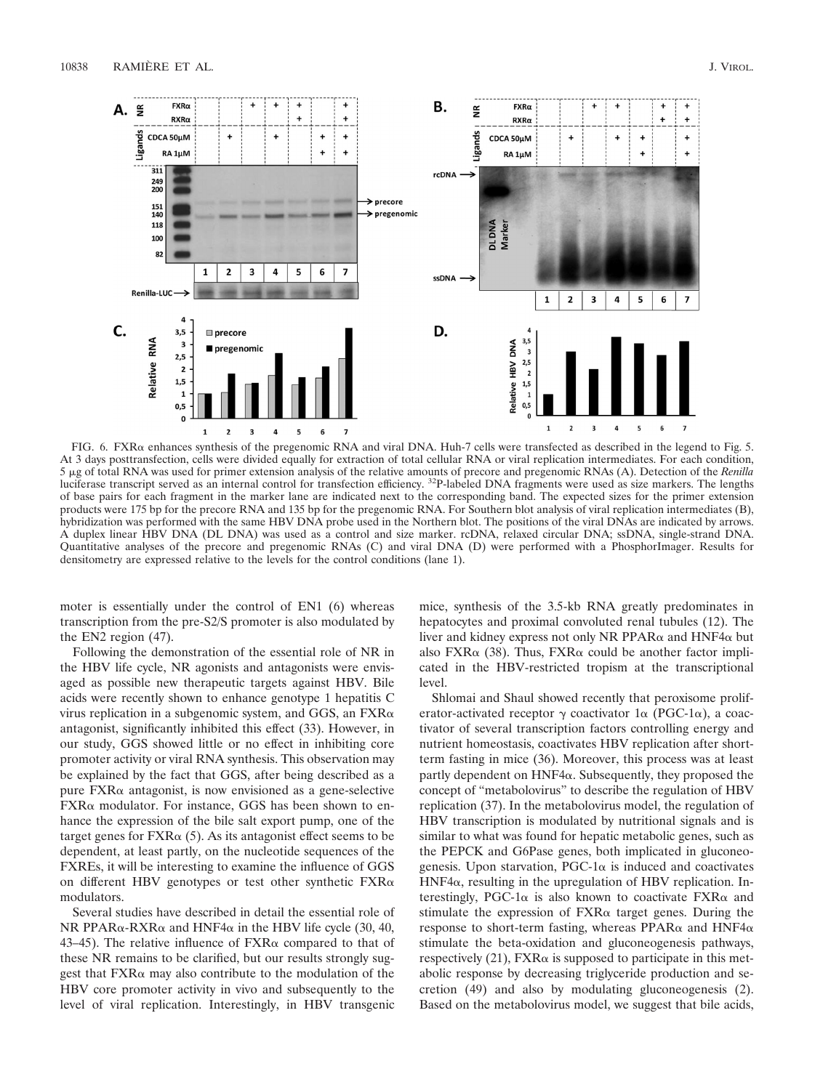

FIG. 6.  $FXR\alpha$  enhances synthesis of the pregenomic RNA and viral DNA. Huh-7 cells were transfected as described in the legend to Fig. 5. At 3 days posttransfection, cells were divided equally for extraction of total cellular RNA or viral replication intermediates. For each condition, 5 g of total RNA was used for primer extension analysis of the relative amounts of precore and pregenomic RNAs (A). Detection of the *Renilla* luciferase transcript served as an internal control for transfection efficiency.<sup>32</sup>P-labeled DNA fragments were used as size markers. The lengths of base pairs for each fragment in the marker lane are indicated next to the corresponding band. The expected sizes for the primer extension products were 175 bp for the precore RNA and 135 bp for the pregenomic RNA. For Southern blot analysis of viral replication intermediates (B), hybridization was performed with the same HBV DNA probe used in the Northern blot. The positions of the viral DNAs are indicated by arrows. A duplex linear HBV DNA (DL DNA) was used as a control and size marker. rcDNA, relaxed circular DNA; ssDNA, single-strand DNA. Quantitative analyses of the precore and pregenomic RNAs (C) and viral DNA (D) were performed with a PhosphorImager. Results for densitometry are expressed relative to the levels for the control conditions (lane 1).

moter is essentially under the control of EN1 (6) whereas transcription from the pre-S2/S promoter is also modulated by the EN2 region (47).

Following the demonstration of the essential role of NR in the HBV life cycle, NR agonists and antagonists were envisaged as possible new therapeutic targets against HBV. Bile acids were recently shown to enhance genotype 1 hepatitis C virus replication in a subgenomic system, and GGS, an  $FXR\alpha$ antagonist, significantly inhibited this effect (33). However, in our study, GGS showed little or no effect in inhibiting core promoter activity or viral RNA synthesis. This observation may be explained by the fact that GGS, after being described as a pure  $FXR\alpha$  antagonist, is now envisioned as a gene-selective  $FXR\alpha$  modulator. For instance, GGS has been shown to enhance the expression of the bile salt export pump, one of the target genes for  $FXR\alpha$  (5). As its antagonist effect seems to be dependent, at least partly, on the nucleotide sequences of the FXREs, it will be interesting to examine the influence of GGS on different HBV genotypes or test other synthetic  $FXR\alpha$ modulators.

Several studies have described in detail the essential role of NR PPAR $\alpha$ -RXR $\alpha$  and HNF4 $\alpha$  in the HBV life cycle (30, 40, 43–45). The relative influence of  $FXR\alpha$  compared to that of these NR remains to be clarified, but our results strongly suggest that  $FXR\alpha$  may also contribute to the modulation of the HBV core promoter activity in vivo and subsequently to the level of viral replication. Interestingly, in HBV transgenic

mice, synthesis of the 3.5-kb RNA greatly predominates in hepatocytes and proximal convoluted renal tubules (12). The liver and kidney express not only NR PPAR $\alpha$  and HNF4 $\alpha$  but also FXR $\alpha$  (38). Thus, FXR $\alpha$  could be another factor implicated in the HBV-restricted tropism at the transcriptional level.

Shlomai and Shaul showed recently that peroxisome proliferator-activated receptor  $\gamma$  coactivator 1 $\alpha$  (PGC-1 $\alpha$ ), a coactivator of several transcription factors controlling energy and nutrient homeostasis, coactivates HBV replication after shortterm fasting in mice (36). Moreover, this process was at least partly dependent on  $HNF4\alpha$ . Subsequently, they proposed the concept of "metabolovirus" to describe the regulation of HBV replication (37). In the metabolovirus model, the regulation of HBV transcription is modulated by nutritional signals and is similar to what was found for hepatic metabolic genes, such as the PEPCK and G6Pase genes, both implicated in gluconeogenesis. Upon starvation,  $PGC-1\alpha$  is induced and coactivates  $HNF4\alpha$ , resulting in the upregulation of HBV replication. Interestingly, PGC-1 $\alpha$  is also known to coactivate FXR $\alpha$  and stimulate the expression of  $FXR\alpha$  target genes. During the response to short-term fasting, whereas PPAR $\alpha$  and HNF4 $\alpha$ stimulate the beta-oxidation and gluconeogenesis pathways, respectively  $(21)$ , FXR $\alpha$  is supposed to participate in this metabolic response by decreasing triglyceride production and secretion (49) and also by modulating gluconeogenesis (2). Based on the metabolovirus model, we suggest that bile acids,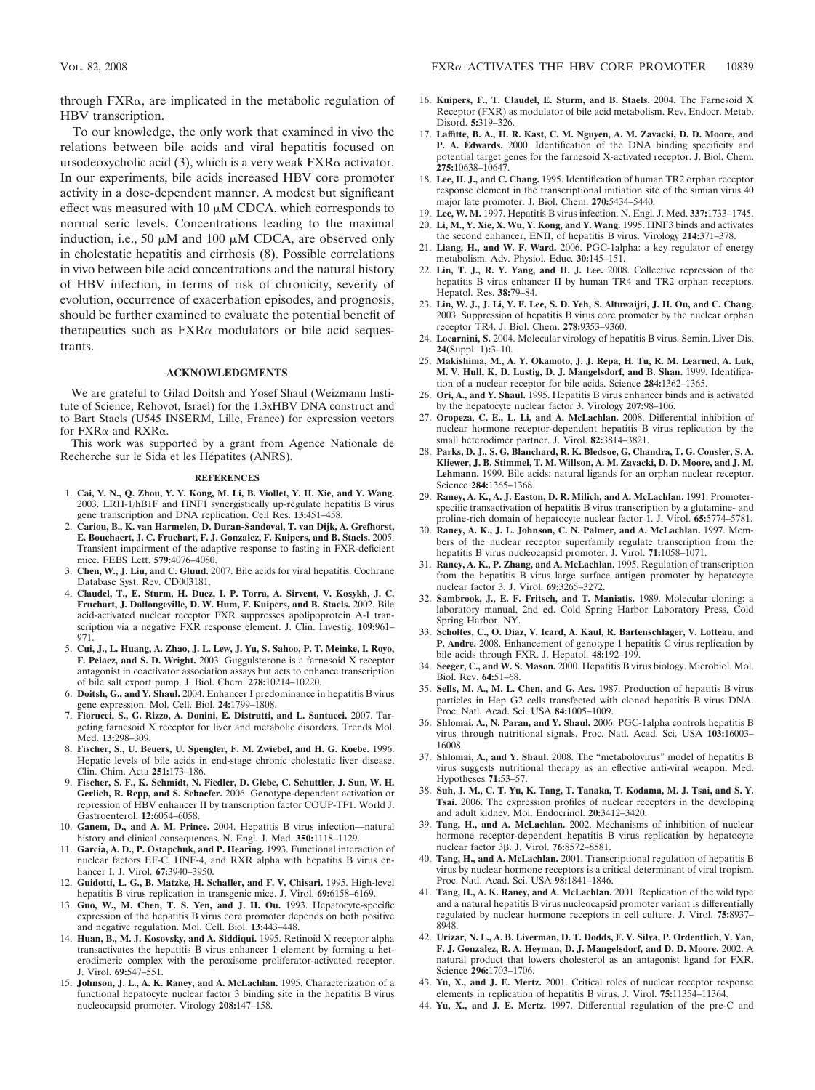through  $FXR\alpha$ , are implicated in the metabolic regulation of HBV transcription.

To our knowledge, the only work that examined in vivo the relations between bile acids and viral hepatitis focused on ursodeoxycholic acid  $(3)$ , which is a very weak  $FXR\alpha$  activator. In our experiments, bile acids increased HBV core promoter activity in a dose-dependent manner. A modest but significant effect was measured with 10  $\mu$ M CDCA, which corresponds to normal seric levels. Concentrations leading to the maximal induction, i.e., 50  $\mu$ M and 100  $\mu$ M CDCA, are observed only in cholestatic hepatitis and cirrhosis (8). Possible correlations in vivo between bile acid concentrations and the natural history of HBV infection, in terms of risk of chronicity, severity of evolution, occurrence of exacerbation episodes, and prognosis, should be further examined to evaluate the potential benefit of therapeutics such as  $FXR\alpha$  modulators or bile acid sequestrants.

#### **ACKNOWLEDGMENTS**

We are grateful to Gilad Doitsh and Yosef Shaul (Weizmann Institute of Science, Rehovot, Israel) for the 1.3xHBV DNA construct and to Bart Staels (U545 INSERM, Lille, France) for expression vectors for  $FXR\alpha$  and  $RXR\alpha$ .

This work was supported by a grant from Agence Nationale de Recherche sur le Sida et les Hépatites (ANRS).

#### **REFERENCES**

- 1. **Cai, Y. N., Q. Zhou, Y. Y. Kong, M. Li, B. Viollet, Y. H. Xie, and Y. Wang.** 2003. LRH-1/hB1F and HNF1 synergistically up-regulate hepatitis B virus gene transcription and DNA replication. Cell Res. **13:**451–458.
- 2. **Cariou, B., K. van Harmelen, D. Duran-Sandoval, T. van Dijk, A. Grefhorst, E. Bouchaert, J. C. Fruchart, F. J. Gonzalez, F. Kuipers, and B. Staels.** 2005. Transient impairment of the adaptive response to fasting in FXR-deficient mice. FEBS Lett. **579:**4076–4080.
- 3. **Chen, W., J. Liu, and C. Gluud.** 2007. Bile acids for viral hepatitis. Cochrane Database Syst. Rev. CD003181.
- 4. **Claudel, T., E. Sturm, H. Duez, I. P. Torra, A. Sirvent, V. Kosykh, J. C. Fruchart, J. Dallongeville, D. W. Hum, F. Kuipers, and B. Staels.** 2002. Bile acid-activated nuclear receptor FXR suppresses apolipoprotein A-I transcription via a negative FXR response element. J. Clin. Investig. **109:**961– 971.
- 5. **Cui, J., L. Huang, A. Zhao, J. L. Lew, J. Yu, S. Sahoo, P. T. Meinke, I. Royo, F. Pelaez, and S. D. Wright.** 2003. Guggulsterone is a farnesoid X receptor antagonist in coactivator association assays but acts to enhance transcription of bile salt export pump. J. Biol. Chem. **278:**10214–10220.
- 6. **Doitsh, G., and Y. Shaul.** 2004. Enhancer I predominance in hepatitis B virus gene expression. Mol. Cell. Biol. **24:**1799–1808.
- 7. **Fiorucci, S., G. Rizzo, A. Donini, E. Distrutti, and L. Santucci.** 2007. Targeting farnesoid X receptor for liver and metabolic disorders. Trends Mol. Med. **13:**298–309.
- 8. **Fischer, S., U. Beuers, U. Spengler, F. M. Zwiebel, and H. G. Koebe.** 1996. Hepatic levels of bile acids in end-stage chronic cholestatic liver disease. Clin. Chim. Acta **251:**173–186.
- 9. **Fischer, S. F., K. Schmidt, N. Fiedler, D. Glebe, C. Schuttler, J. Sun, W. H. Gerlich, R. Repp, and S. Schaefer.** 2006. Genotype-dependent activation or repression of HBV enhancer II by transcription factor COUP-TF1. World J. Gastroenterol. **12:**6054–6058.
- 10. **Ganem, D., and A. M. Prince.** 2004. Hepatitis B virus infection—natural history and clinical consequences. N. Engl. J. Med. **350:**1118–1129.
- 11. **Garcia, A. D., P. Ostapchuk, and P. Hearing.** 1993. Functional interaction of nuclear factors EF-C, HNF-4, and RXR alpha with hepatitis B virus enhancer I. J. Virol. **67:**3940–3950.
- 12. **Guidotti, L. G., B. Matzke, H. Schaller, and F. V. Chisari.** 1995. High-level hepatitis B virus replication in transgenic mice. J. Virol. **69:**6158–6169.
- 13. **Guo, W., M. Chen, T. S. Yen, and J. H. Ou.** 1993. Hepatocyte-specific expression of the hepatitis B virus core promoter depends on both positive and negative regulation. Mol. Cell. Biol. **13:**443–448.
- 14. **Huan, B., M. J. Kosovsky, and A. Siddiqui.** 1995. Retinoid X receptor alpha transactivates the hepatitis B virus enhancer 1 element by forming a heterodimeric complex with the peroxisome proliferator-activated receptor. J. Virol. **69:**547–551.
- 15. **Johnson, J. L., A. K. Raney, and A. McLachlan.** 1995. Characterization of a functional hepatocyte nuclear factor 3 binding site in the hepatitis B virus nucleocapsid promoter. Virology **208:**147–158.
- 16. **Kuipers, F., T. Claudel, E. Sturm, and B. Staels.** 2004. The Farnesoid X Receptor (FXR) as modulator of bile acid metabolism. Rev. Endocr. Metab. Disord. **5:**319–326.
- 17. **Laffitte, B. A., H. R. Kast, C. M. Nguyen, A. M. Zavacki, D. D. Moore, and P. A. Edwards.** 2000. Identification of the DNA binding specificity and potential target genes for the farnesoid X-activated receptor. J. Biol. Chem. **275:**10638–10647.
- 18. **Lee, H. J., and C. Chang.** 1995. Identification of human TR2 orphan receptor response element in the transcriptional initiation site of the simian virus 40 major late promoter. J. Biol. Chem. **270:**5434–5440.
- 19. **Lee, W. M.** 1997. Hepatitis B virus infection. N. Engl. J. Med. **337:**1733–1745. 20. **Li, M., Y. Xie, X. Wu, Y. Kong, and Y. Wang.** 1995. HNF3 binds and activates
- the second enhancer, ENII, of hepatitis B virus. Virology **214:**371–378. 21. **Liang, H., and W. F. Ward.** 2006. PGC-1alpha: a key regulator of energy
- metabolism. Adv. Physiol. Educ. **30:**145–151.
- 22. **Lin, T. J., R. Y. Yang, and H. J. Lee.** 2008. Collective repression of the hepatitis B virus enhancer II by human TR4 and TR2 orphan receptors. Hepatol. Res. **38:**79–84.
- 23. **Lin, W. J., J. Li, Y. F. Lee, S. D. Yeh, S. Altuwaijri, J. H. Ou, and C. Chang.** 2003. Suppression of hepatitis B virus core promoter by the nuclear orphan receptor TR4. J. Biol. Chem. **278:**9353–9360.
- 24. **Locarnini, S.** 2004. Molecular virology of hepatitis B virus. Semin. Liver Dis. **24**(Suppl. 1)**:**3–10.
- 25. **Makishima, M., A. Y. Okamoto, J. J. Repa, H. Tu, R. M. Learned, A. Luk, M. V. Hull, K. D. Lustig, D. J. Mangelsdorf, and B. Shan.** 1999. Identification of a nuclear receptor for bile acids. Science **284:**1362–1365.
- 26. **Ori, A., and Y. Shaul.** 1995. Hepatitis B virus enhancer binds and is activated by the hepatocyte nuclear factor 3. Virology **207:**98–106.
- 27. **Oropeza, C. E., L. Li, and A. McLachlan.** 2008. Differential inhibition of nuclear hormone receptor-dependent hepatitis B virus replication by the small heterodimer partner. J. Virol. **82:**3814–3821.
- 28. **Parks, D. J., S. G. Blanchard, R. K. Bledsoe, G. Chandra, T. G. Consler, S. A. Kliewer, J. B. Stimmel, T. M. Willson, A. M. Zavacki, D. D. Moore, and J. M. Lehmann.** 1999. Bile acids: natural ligands for an orphan nuclear receptor. Science **284:**1365–1368.
- 29. **Raney, A. K., A. J. Easton, D. R. Milich, and A. McLachlan.** 1991. Promoterspecific transactivation of hepatitis B virus transcription by a glutamine- and proline-rich domain of hepatocyte nuclear factor 1. J. Virol. **65:**5774–5781.
- 30. **Raney, A. K., J. L. Johnson, C. N. Palmer, and A. McLachlan.** 1997. Members of the nuclear receptor superfamily regulate transcription from the hepatitis B virus nucleocapsid promoter. J. Virol. **71:**1058–1071.
- 31. **Raney, A. K., P. Zhang, and A. McLachlan.** 1995. Regulation of transcription from the hepatitis B virus large surface antigen promoter by hepatocyte nuclear factor 3. J. Virol. **69:**3265–3272.
- 32. **Sambrook, J., E. F. Fritsch, and T. Maniatis.** 1989. Molecular cloning: a laboratory manual, 2nd ed. Cold Spring Harbor Laboratory Press, Cold Spring Harbor, NY.
- 33. **Scholtes, C., O. Diaz, V. Icard, A. Kaul, R. Bartenschlager, V. Lotteau, and P. Andre.** 2008. Enhancement of genotype 1 hepatitis C virus replication by bile acids through FXR. J. Hepatol. **48:**192–199.
- 34. **Seeger, C., and W. S. Mason.** 2000. Hepatitis B virus biology. Microbiol. Mol. Biol. Rev. **64:**51–68.
- 35. **Sells, M. A., M. L. Chen, and G. Acs.** 1987. Production of hepatitis B virus particles in Hep G2 cells transfected with cloned hepatitis B virus DNA. Proc. Natl. Acad. Sci. USA **84:**1005–1009.
- 36. **Shlomai, A., N. Paran, and Y. Shaul.** 2006. PGC-1alpha controls hepatitis B virus through nutritional signals. Proc. Natl. Acad. Sci. USA **103:**16003– 16008.
- 37. **Shlomai, A., and Y. Shaul.** 2008. The "metabolovirus" model of hepatitis B virus suggests nutritional therapy as an effective anti-viral weapon. Med. Hypotheses **71:**53–57.
- 38. **Suh, J. M., C. T. Yu, K. Tang, T. Tanaka, T. Kodama, M. J. Tsai, and S. Y. Tsai.** 2006. The expression profiles of nuclear receptors in the developing and adult kidney. Mol. Endocrinol. **20:**3412–3420.
- 39. **Tang, H., and A. McLachlan.** 2002. Mechanisms of inhibition of nuclear hormone receptor-dependent hepatitis B virus replication by hepatocyte nuclear factor 3β. J. Virol. **76:**8572–8581.
- 40. **Tang, H., and A. McLachlan.** 2001. Transcriptional regulation of hepatitis B virus by nuclear hormone receptors is a critical determinant of viral tropism. Proc. Natl. Acad. Sci. USA **98:**1841–1846.
- 41. **Tang, H., A. K. Raney, and A. McLachlan.** 2001. Replication of the wild type and a natural hepatitis B virus nucleocapsid promoter variant is differentially regulated by nuclear hormone receptors in cell culture. J. Virol. **75:**8937– 8948.
- 42. **Urizar, N. L., A. B. Liverman, D. T. Dodds, F. V. Silva, P. Ordentlich, Y. Yan, F. J. Gonzalez, R. A. Heyman, D. J. Mangelsdorf, and D. D. Moore.** 2002. A natural product that lowers cholesterol as an antagonist ligand for FXR. Science **296:**1703–1706.
- 43. **Yu, X., and J. E. Mertz.** 2001. Critical roles of nuclear receptor response elements in replication of hepatitis B virus. J. Virol. **75:**11354–11364.
- 44. **Yu, X., and J. E. Mertz.** 1997. Differential regulation of the pre-C and